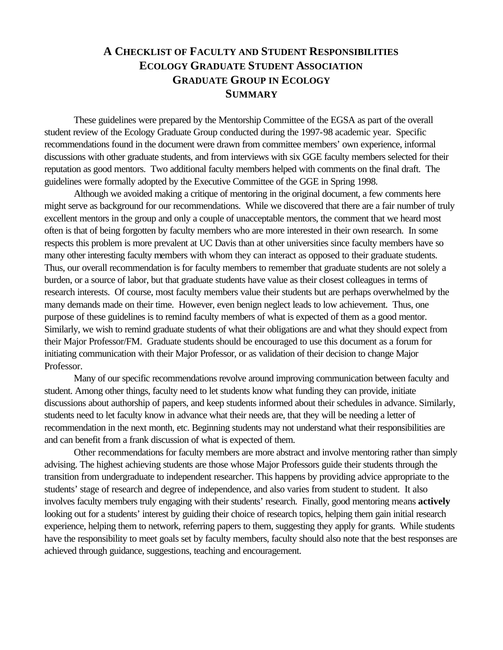# **A CHECKLIST OF FACULTY AND STUDENT RESPONSIBILITIES ECOLOGY GRADUATE STUDENT ASSOCIATION GRADUATE GROUP IN ECOLOGY SUMMARY**

These guidelines were prepared by the Mentorship Committee of the EGSA as part of the overall student review of the Ecology Graduate Group conducted during the 1997-98 academic year. Specific recommendations found in the document were drawn from committee members' own experience, informal discussions with other graduate students, and from interviews with six GGE faculty members selected for their reputation as good mentors. Two additional faculty members helped with comments on the final draft. The guidelines were formally adopted by the Executive Committee of the GGE in Spring 1998.

Although we avoided making a critique of mentoring in the original document, a few comments here might serve as background for our recommendations. While we discovered that there are a fair number of truly excellent mentors in the group and only a couple of unacceptable mentors, the comment that we heard most often is that of being forgotten by faculty members who are more interested in their own research. In some respects this problem is more prevalent at UC Davis than at other universities since faculty members have so many other interesting faculty members with whom they can interact as opposed to their graduate students. Thus, our overall recommendation is for faculty members to remember that graduate students are not solely a burden, or a source of labor, but that graduate students have value as their closest colleagues in terms of research interests. Of course, most faculty members value their students but are perhaps overwhelmed by the many demands made on their time. However, even benign neglect leads to low achievement. Thus, one purpose of these guidelines is to remind faculty members of what is expected of them as a good mentor. Similarly, we wish to remind graduate students of what their obligations are and what they should expect from their Major Professor/FM. Graduate students should be encouraged to use this document as a forum for initiating communication with their Major Professor, or as validation of their decision to change Major Professor.

Many of our specific recommendations revolve around improving communication between faculty and student. Among other things, faculty need to let students know what funding they can provide, initiate discussions about authorship of papers, and keep students informed about their schedules in advance. Similarly, students need to let faculty know in advance what their needs are, that they will be needing a letter of recommendation in the next month, etc. Beginning students may not understand what their responsibilities are and can benefit from a frank discussion of what is expected of them.

Other recommendations for faculty members are more abstract and involve mentoring rather than simply advising. The highest achieving students are those whose Major Professors guide their students through the transition from undergraduate to independent researcher. This happens by providing advice appropriate to the students' stage of research and degree of independence, and also varies from student to student. It also involves faculty members truly engaging with their students' research. Finally, good mentoring means **actively** looking out for a students' interest by guiding their choice of research topics, helping them gain initial research experience, helping them to network, referring papers to them, suggesting they apply for grants. While students have the responsibility to meet goals set by faculty members, faculty should also note that the best responses are achieved through guidance, suggestions, teaching and encouragement.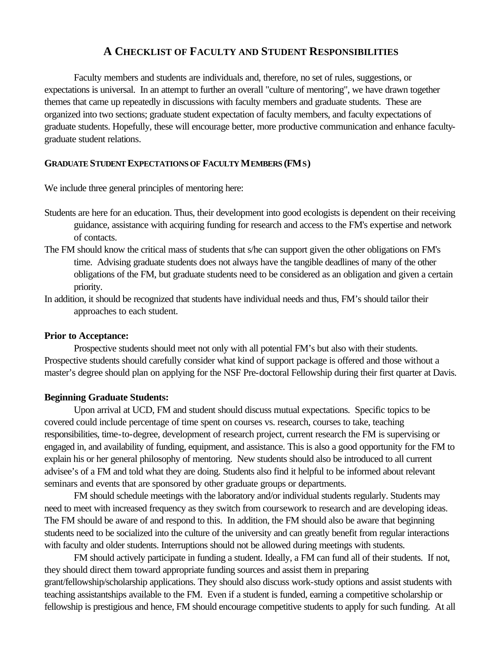# **A CHECKLIST OF FACULTY AND STUDENT RESPONSIBILITIES**

Faculty members and students are individuals and, therefore, no set of rules, suggestions, or expectations is universal. In an attempt to further an overall "culture of mentoring", we have drawn together themes that came up repeatedly in discussions with faculty members and graduate students. These are organized into two sections; graduate student expectation of faculty members, and faculty expectations of graduate students. Hopefully, these will encourage better, more productive communication and enhance facultygraduate student relations.

#### **GRADUATE STUDENT EXPECTATIONS OF FACULTY MEMBERS (FMS)**

We include three general principles of mentoring here:

- Students are here for an education. Thus, their development into good ecologists is dependent on their receiving guidance, assistance with acquiring funding for research and access to the FM's expertise and network of contacts.
- The FM should know the critical mass of students that s/he can support given the other obligations on FM's time. Advising graduate students does not always have the tangible deadlines of many of the other obligations of the FM, but graduate students need to be considered as an obligation and given a certain priority.
- In addition, it should be recognized that students have individual needs and thus, FM's should tailor their approaches to each student.

#### **Prior to Acceptance:**

Prospective students should meet not only with all potential FM's but also with their students. Prospective students should carefully consider what kind of support package is offered and those without a master's degree should plan on applying for the NSF Pre-doctoral Fellowship during their first quarter at Davis.

### **Beginning Graduate Students:**

Upon arrival at UCD, FM and student should discuss mutual expectations. Specific topics to be covered could include percentage of time spent on courses vs. research, courses to take, teaching responsibilities, time-to-degree, development of research project, current research the FM is supervising or engaged in, and availability of funding, equipment, and assistance. This is also a good opportunity for the FM to explain his or her general philosophy of mentoring. New students should also be introduced to all current advisee's of a FM and told what they are doing. Students also find it helpful to be informed about relevant seminars and events that are sponsored by other graduate groups or departments.

FM should schedule meetings with the laboratory and/or individual students regularly. Students may need to meet with increased frequency as they switch from coursework to research and are developing ideas. The FM should be aware of and respond to this. In addition, the FM should also be aware that beginning students need to be socialized into the culture of the university and can greatly benefit from regular interactions with faculty and older students. Interruptions should not be allowed during meetings with students.

FM should actively participate in funding a student. Ideally, a FM can fund all of their students. If not, they should direct them toward appropriate funding sources and assist them in preparing grant/fellowship/scholarship applications. They should also discuss work-study options and assist students with teaching assistantships available to the FM. Even if a student is funded, earning a competitive scholarship or fellowship is prestigious and hence, FM should encourage competitive students to apply for such funding. At all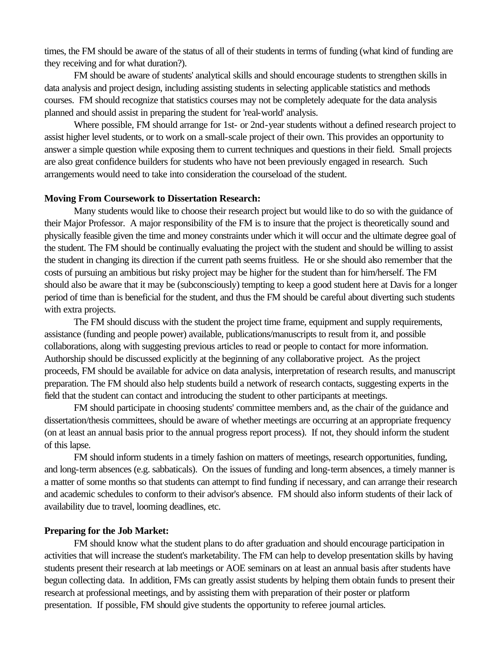times, the FM should be aware of the status of all of their students in terms of funding (what kind of funding are they receiving and for what duration?).

FM should be aware of students' analytical skills and should encourage students to strengthen skills in data analysis and project design, including assisting students in selecting applicable statistics and methods courses. FM should recognize that statistics courses may not be completely adequate for the data analysis planned and should assist in preparing the student for 'real-world' analysis.

Where possible, FM should arrange for 1st- or 2nd-year students without a defined research project to assist higher level students, or to work on a small-scale project of their own. This provides an opportunity to answer a simple question while exposing them to current techniques and questions in their field. Small projects are also great confidence builders for students who have not been previously engaged in research. Such arrangements would need to take into consideration the courseload of the student.

#### **Moving From Coursework to Dissertation Research:**

Many students would like to choose their research project but would like to do so with the guidance of their Major Professor. A major responsibility of the FM is to insure that the project is theoretically sound and physically feasible given the time and money constraints under which it will occur and the ultimate degree goal of the student. The FM should be continually evaluating the project with the student and should be willing to assist the student in changing its direction if the current path seems fruitless. He or she should also remember that the costs of pursuing an ambitious but risky project may be higher for the student than for him/herself. The FM should also be aware that it may be (subconsciously) tempting to keep a good student here at Davis for a longer period of time than is beneficial for the student, and thus the FM should be careful about diverting such students with extra projects.

The FM should discuss with the student the project time frame, equipment and supply requirements, assistance (funding and people power) available, publications/manuscripts to result from it, and possible collaborations, along with suggesting previous articles to read or people to contact for more information. Authorship should be discussed explicitly at the beginning of any collaborative project. As the project proceeds, FM should be available for advice on data analysis, interpretation of research results, and manuscript preparation. The FM should also help students build a network of research contacts, suggesting experts in the field that the student can contact and introducing the student to other participants at meetings.

FM should participate in choosing students' committee members and, as the chair of the guidance and dissertation/thesis committees, should be aware of whether meetings are occurring at an appropriate frequency (on at least an annual basis prior to the annual progress report process). If not, they should inform the student of this lapse.

FM should inform students in a timely fashion on matters of meetings, research opportunities, funding, and long-term absences (e.g. sabbaticals). On the issues of funding and long-term absences, a timely manner is a matter of some months so that students can attempt to find funding if necessary, and can arrange their research and academic schedules to conform to their advisor's absence. FM should also inform students of their lack of availability due to travel, looming deadlines, etc.

### **Preparing for the Job Market:**

FM should know what the student plans to do after graduation and should encourage participation in activities that will increase the student's marketability. The FM can help to develop presentation skills by having students present their research at lab meetings or AOE seminars on at least an annual basis after students have begun collecting data. In addition, FMs can greatly assist students by helping them obtain funds to present their research at professional meetings, and by assisting them with preparation of their poster or platform presentation. If possible, FM should give students the opportunity to referee journal articles.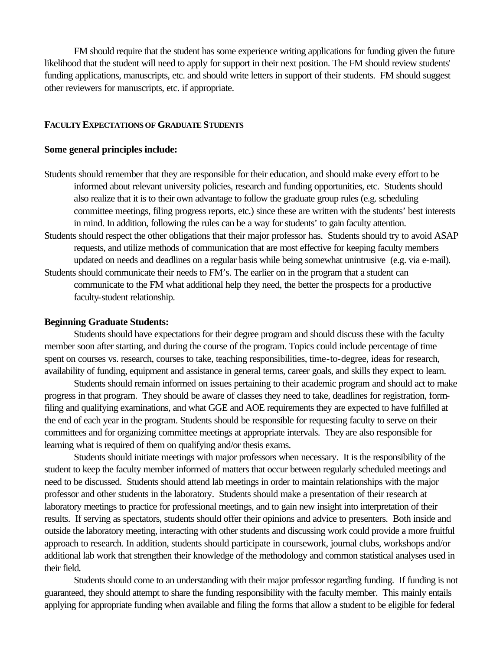FM should require that the student has some experience writing applications for funding given the future likelihood that the student will need to apply for support in their next position. The FM should review students' funding applications, manuscripts, etc. and should write letters in support of their students. FM should suggest other reviewers for manuscripts, etc. if appropriate.

#### **FACULTY EXPECTATIONS OF GRADUATE STUDENTS**

#### **Some general principles include:**

- Students should remember that they are responsible for their education, and should make every effort to be informed about relevant university policies, research and funding opportunities, etc. Students should also realize that it is to their own advantage to follow the graduate group rules (e.g. scheduling committee meetings, filing progress reports, etc.) since these are written with the students' best interests in mind. In addition, following the rules can be a way for students' to gain faculty attention.
- Students should respect the other obligations that their major professor has. Students should try to avoid ASAP requests, and utilize methods of communication that are most effective for keeping faculty members updated on needs and deadlines on a regular basis while being somewhat unintrusive (e.g. via e-mail).
- Students should communicate their needs to FM's. The earlier on in the program that a student can communicate to the FM what additional help they need, the better the prospects for a productive faculty-student relationship.

#### **Beginning Graduate Students:**

Students should have expectations for their degree program and should discuss these with the faculty member soon after starting, and during the course of the program. Topics could include percentage of time spent on courses vs. research, courses to take, teaching responsibilities, time-to-degree, ideas for research, availability of funding, equipment and assistance in general terms, career goals, and skills they expect to learn.

Students should remain informed on issues pertaining to their academic program and should act to make progress in that program. They should be aware of classes they need to take, deadlines for registration, formfiling and qualifying examinations, and what GGE and AOE requirements they are expected to have fulfilled at the end of each year in the program. Students should be responsible for requesting faculty to serve on their committees and for organizing committee meetings at appropriate intervals. They are also responsible for learning what is required of them on qualifying and/or thesis exams.

Students should initiate meetings with major professors when necessary. It is the responsibility of the student to keep the faculty member informed of matters that occur between regularly scheduled meetings and need to be discussed. Students should attend lab meetings in order to maintain relationships with the major professor and other students in the laboratory. Students should make a presentation of their research at laboratory meetings to practice for professional meetings, and to gain new insight into interpretation of their results. If serving as spectators, students should offer their opinions and advice to presenters. Both inside and outside the laboratory meeting, interacting with other students and discussing work could provide a more fruitful approach to research. In addition, students should participate in coursework, journal clubs, workshops and/or additional lab work that strengthen their knowledge of the methodology and common statistical analyses used in their field.

Students should come to an understanding with their major professor regarding funding. If funding is not guaranteed, they should attempt to share the funding responsibility with the faculty member. This mainly entails applying for appropriate funding when available and filing the forms that allow a student to be eligible for federal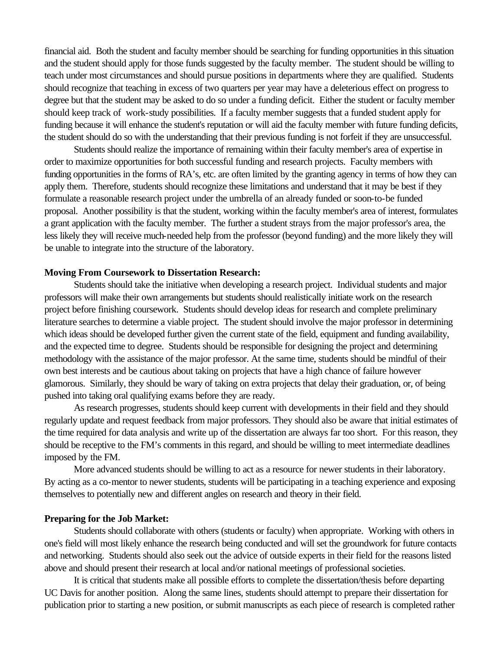financial aid. Both the student and faculty member should be searching for funding opportunities in this situation and the student should apply for those funds suggested by the faculty member. The student should be willing to teach under most circumstances and should pursue positions in departments where they are qualified. Students should recognize that teaching in excess of two quarters per year may have a deleterious effect on progress to degree but that the student may be asked to do so under a funding deficit. Either the student or faculty member should keep track of work-study possibilities. If a faculty member suggests that a funded student apply for funding because it will enhance the student's reputation or will aid the faculty member with future funding deficits, the student should do so with the understanding that their previous funding is not forfeit if they are unsuccessful.

Students should realize the importance of remaining within their faculty member's area of expertise in order to maximize opportunities for both successful funding and research projects. Faculty members with funding opportunities in the forms of RA's, etc. are often limited by the granting agency in terms of how they can apply them. Therefore, students should recognize these limitations and understand that it may be best if they formulate a reasonable research project under the umbrella of an already funded or soon-to-be funded proposal. Another possibility is that the student, working within the faculty member's area of interest, formulates a grant application with the faculty member. The further a student strays from the major professor's area, the less likely they will receive much-needed help from the professor (beyond funding) and the more likely they will be unable to integrate into the structure of the laboratory.

#### **Moving From Coursework to Dissertation Research:**

Students should take the initiative when developing a research project. Individual students and major professors will make their own arrangements but students should realistically initiate work on the research project before finishing coursework. Students should develop ideas for research and complete preliminary literature searches to determine a viable project. The student should involve the major professor in determining which ideas should be developed further given the current state of the field, equipment and funding availability, and the expected time to degree. Students should be responsible for designing the project and determining methodology with the assistance of the major professor. At the same time, students should be mindful of their own best interests and be cautious about taking on projects that have a high chance of failure however glamorous. Similarly, they should be wary of taking on extra projects that delay their graduation, or, of being pushed into taking oral qualifying exams before they are ready.

As research progresses, students should keep current with developments in their field and they should regularly update and request feedback from major professors. They should also be aware that initial estimates of the time required for data analysis and write up of the dissertation are always far too short. For this reason, they should be receptive to the FM's comments in this regard, and should be willing to meet intermediate deadlines imposed by the FM.

More advanced students should be willing to act as a resource for newer students in their laboratory. By acting as a co-mentor to newer students, students will be participating in a teaching experience and exposing themselves to potentially new and different angles on research and theory in their field.

#### **Preparing for the Job Market:**

Students should collaborate with others (students or faculty) when appropriate. Working with others in one's field will most likely enhance the research being conducted and will set the groundwork for future contacts and networking. Students should also seek out the advice of outside experts in their field for the reasons listed above and should present their research at local and/or national meetings of professional societies.

It is critical that students make all possible efforts to complete the dissertation/thesis before departing UC Davis for another position. Along the same lines, students should attempt to prepare their dissertation for publication prior to starting a new position, or submit manuscripts as each piece of research is completed rather